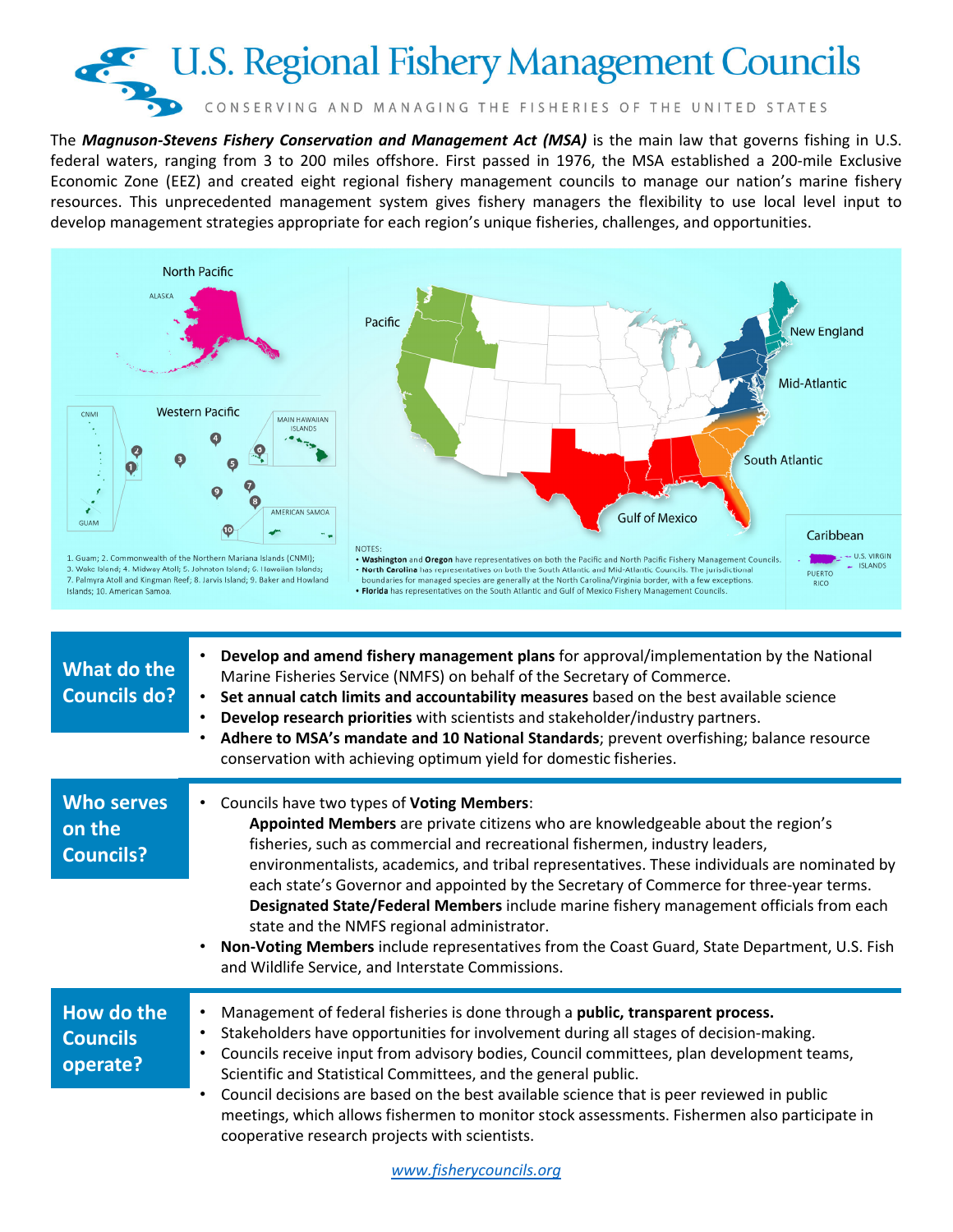

The *Magnuson-Stevens Fishery Conservation and Management Act (MSA)* is the main law that governs fishing in U.S. federal waters, ranging from 3 to 200 miles offshore. First passed in 1976, the MSA established a 200-mile Exclusive Economic Zone (EEZ) and created eight regional fishery management councils to manage our nation's marine fishery resources. This unprecedented management system gives fishery managers the flexibility to use local level input to develop management strategies appropriate for each region's unique fisheries, challenges, and opportunities.



| <b>Who serves</b><br>on the<br><b>Councils?</b> | Councils have two types of Voting Members:<br>$\bullet$<br>Appointed Members are private citizens who are knowledgeable about the region's<br>fisheries, such as commercial and recreational fishermen, industry leaders,<br>environmentalists, academics, and tribal representatives. These individuals are nominated by<br>each state's Governor and appointed by the Secretary of Commerce for three-year terms.<br>Designated State/Federal Members include marine fishery management officials from each<br>state and the NMFS regional administrator.<br>Non-Voting Members include representatives from the Coast Guard, State Department, U.S. Fish<br>and Wildlife Service, and Interstate Commissions.<br>Management of federal fisheries is done through a public, transparent process.<br>$\bullet$<br>Stakeholders have opportunities for involvement during all stages of decision-making.<br>$\bullet$<br>Councils receive input from advisory bodies, Council committees, plan development teams,<br>٠<br>Scientific and Statistical Committees, and the general public.<br>Council decisions are based on the best available science that is peer reviewed in public<br>$\bullet$<br>meetings, which allows fishermen to monitor stock assessments. Fishermen also participate in<br>cooperative research projects with scientists. |
|-------------------------------------------------|------------------------------------------------------------------------------------------------------------------------------------------------------------------------------------------------------------------------------------------------------------------------------------------------------------------------------------------------------------------------------------------------------------------------------------------------------------------------------------------------------------------------------------------------------------------------------------------------------------------------------------------------------------------------------------------------------------------------------------------------------------------------------------------------------------------------------------------------------------------------------------------------------------------------------------------------------------------------------------------------------------------------------------------------------------------------------------------------------------------------------------------------------------------------------------------------------------------------------------------------------------------------------------------------------------------------------------------------------|
|                                                 |                                                                                                                                                                                                                                                                                                                                                                                                                                                                                                                                                                                                                                                                                                                                                                                                                                                                                                                                                                                                                                                                                                                                                                                                                                                                                                                                                      |
| How do the<br><b>Councils</b><br>operate?       |                                                                                                                                                                                                                                                                                                                                                                                                                                                                                                                                                                                                                                                                                                                                                                                                                                                                                                                                                                                                                                                                                                                                                                                                                                                                                                                                                      |
|                                                 |                                                                                                                                                                                                                                                                                                                                                                                                                                                                                                                                                                                                                                                                                                                                                                                                                                                                                                                                                                                                                                                                                                                                                                                                                                                                                                                                                      |